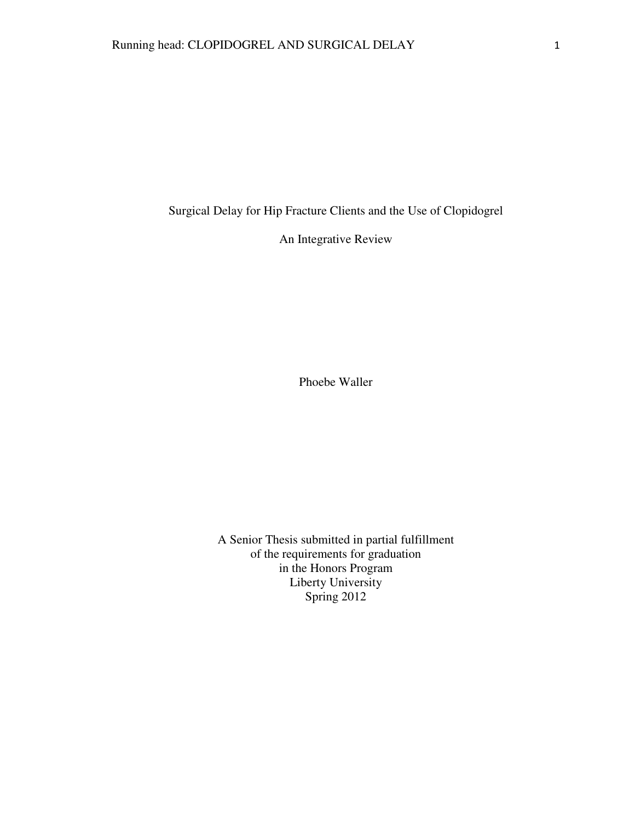Surgical Delay for Hip Fracture Clients and the Use of Clopidogrel

An Integrative Review

Phoebe Waller

A Senior Thesis submitted in partial fulfillment of the requirements for graduation in the Honors Program Liberty University Spring 2012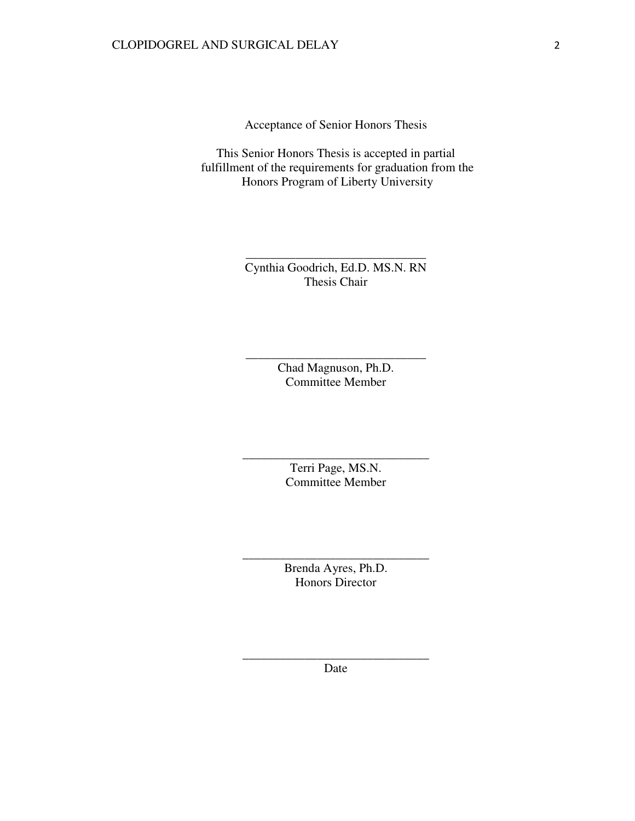Acceptance of Senior Honors Thesis

This Senior Honors Thesis is accepted in partial fulfillment of the requirements for graduation from the Honors Program of Liberty University

> Cynthia Goodrich, Ed.D. MS.N. RN Thesis Chair

\_\_\_\_\_\_\_\_\_\_\_\_\_\_\_\_\_\_\_\_\_\_\_\_\_\_\_\_\_

Chad Magnuson, Ph.D. Committee Member

\_\_\_\_\_\_\_\_\_\_\_\_\_\_\_\_\_\_\_\_\_\_\_\_\_\_\_\_\_

Terri Page, MS.N. Committee Member

\_\_\_\_\_\_\_\_\_\_\_\_\_\_\_\_\_\_\_\_\_\_\_\_\_\_\_\_\_\_

Brenda Ayres, Ph.D. Honors Director

\_\_\_\_\_\_\_\_\_\_\_\_\_\_\_\_\_\_\_\_\_\_\_\_\_\_\_\_\_\_

\_\_\_\_\_\_\_\_\_\_\_\_\_\_\_\_\_\_\_\_\_\_\_\_\_\_\_\_\_\_ Date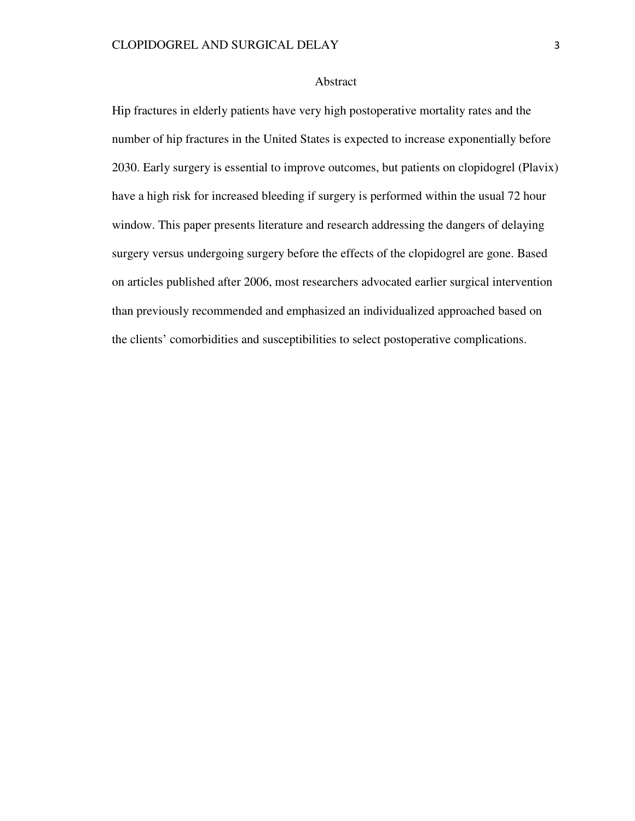### Abstract

Hip fractures in elderly patients have very high postoperative mortality rates and the number of hip fractures in the United States is expected to increase exponentially before 2030. Early surgery is essential to improve outcomes, but patients on clopidogrel (Plavix) have a high risk for increased bleeding if surgery is performed within the usual 72 hour window. This paper presents literature and research addressing the dangers of delaying surgery versus undergoing surgery before the effects of the clopidogrel are gone. Based on articles published after 2006, most researchers advocated earlier surgical intervention than previously recommended and emphasized an individualized approached based on the clients' comorbidities and susceptibilities to select postoperative complications.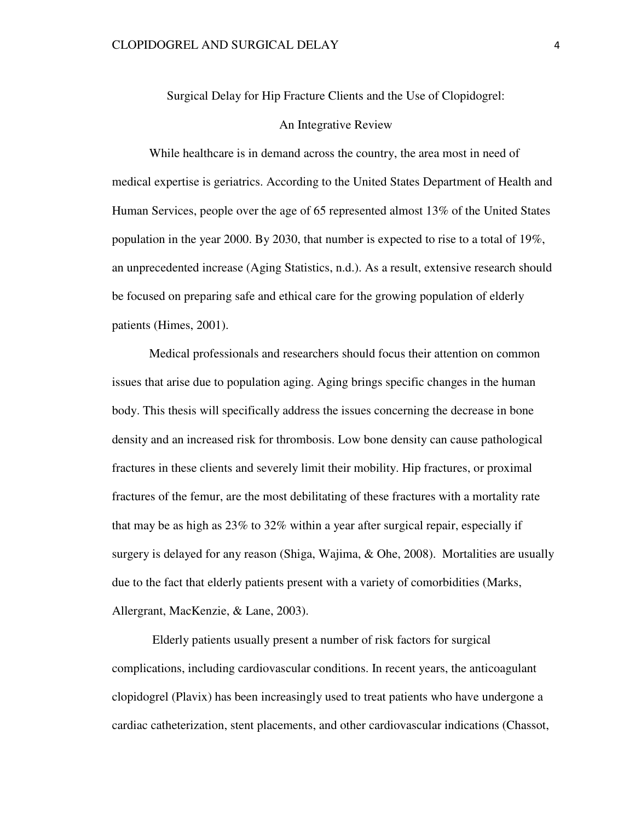Surgical Delay for Hip Fracture Clients and the Use of Clopidogrel:

### An Integrative Review

While healthcare is in demand across the country, the area most in need of medical expertise is geriatrics. According to the United States Department of Health and Human Services, people over the age of 65 represented almost 13% of the United States population in the year 2000. By 2030, that number is expected to rise to a total of 19%, an unprecedented increase (Aging Statistics, n.d.). As a result, extensive research should be focused on preparing safe and ethical care for the growing population of elderly patients (Himes, 2001).

 Medical professionals and researchers should focus their attention on common issues that arise due to population aging. Aging brings specific changes in the human body. This thesis will specifically address the issues concerning the decrease in bone density and an increased risk for thrombosis. Low bone density can cause pathological fractures in these clients and severely limit their mobility. Hip fractures, or proximal fractures of the femur, are the most debilitating of these fractures with a mortality rate that may be as high as 23% to 32% within a year after surgical repair, especially if surgery is delayed for any reason (Shiga, Wajima, & Ohe, 2008). Mortalities are usually due to the fact that elderly patients present with a variety of comorbidities (Marks, Allergrant, MacKenzie, & Lane, 2003).

 Elderly patients usually present a number of risk factors for surgical complications, including cardiovascular conditions. In recent years, the anticoagulant clopidogrel (Plavix) has been increasingly used to treat patients who have undergone a cardiac catheterization, stent placements, and other cardiovascular indications (Chassot,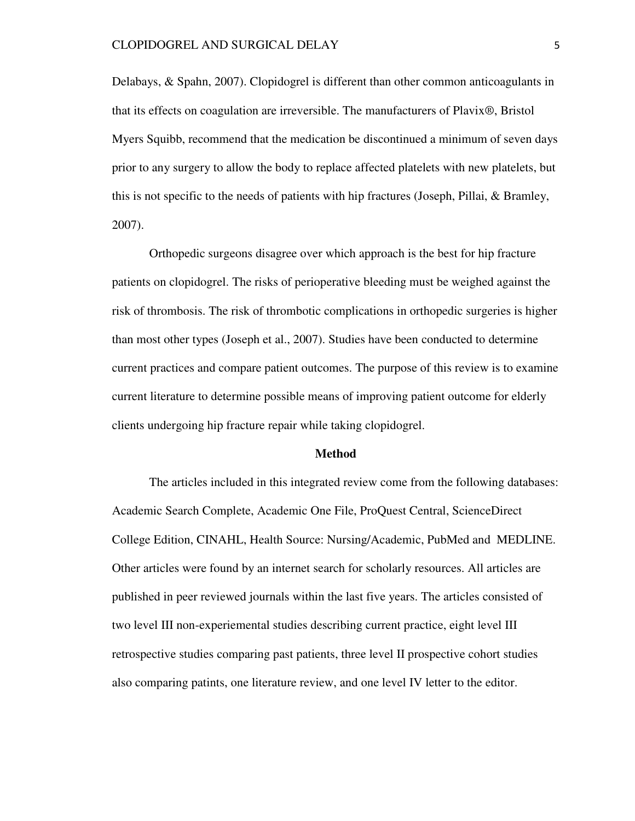Delabays, & Spahn, 2007). Clopidogrel is different than other common anticoagulants in that its effects on coagulation are irreversible. The manufacturers of Plavix®, Bristol Myers Squibb, recommend that the medication be discontinued a minimum of seven days prior to any surgery to allow the body to replace affected platelets with new platelets, but this is not specific to the needs of patients with hip fractures (Joseph, Pillai, & Bramley, 2007).

Orthopedic surgeons disagree over which approach is the best for hip fracture patients on clopidogrel. The risks of perioperative bleeding must be weighed against the risk of thrombosis. The risk of thrombotic complications in orthopedic surgeries is higher than most other types (Joseph et al., 2007). Studies have been conducted to determine current practices and compare patient outcomes. The purpose of this review is to examine current literature to determine possible means of improving patient outcome for elderly clients undergoing hip fracture repair while taking clopidogrel.

#### **Method**

The articles included in this integrated review come from the following databases: Academic Search Complete, Academic One File, ProQuest Central, ScienceDirect College Edition, CINAHL, Health Source: Nursing/Academic, PubMed and MEDLINE. Other articles were found by an internet search for scholarly resources. All articles are published in peer reviewed journals within the last five years. The articles consisted of two level III non-experiemental studies describing current practice, eight level III retrospective studies comparing past patients, three level II prospective cohort studies also comparing patints, one literature review, and one level IV letter to the editor.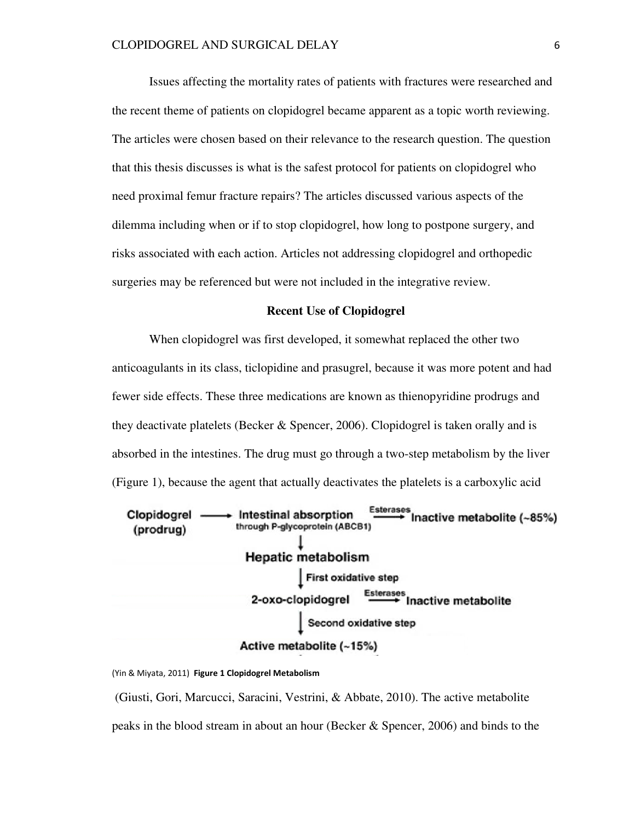Issues affecting the mortality rates of patients with fractures were researched and the recent theme of patients on clopidogrel became apparent as a topic worth reviewing. The articles were chosen based on their relevance to the research question. The question that this thesis discusses is what is the safest protocol for patients on clopidogrel who need proximal femur fracture repairs? The articles discussed various aspects of the dilemma including when or if to stop clopidogrel, how long to postpone surgery, and risks associated with each action. Articles not addressing clopidogrel and orthopedic surgeries may be referenced but were not included in the integrative review.

### **Recent Use of Clopidogrel**

When clopidogrel was first developed, it somewhat replaced the other two anticoagulants in its class, ticlopidine and prasugrel, because it was more potent and had fewer side effects. These three medications are known as thienopyridine prodrugs and they deactivate platelets (Becker & Spencer, 2006). Clopidogrel is taken orally and is absorbed in the intestines. The drug must go through a two-step metabolism by the liver (Figure 1), because the agent that actually deactivates the platelets is a carboxylic acid



(Yin & Miyata, 2011) Figure 1 Clopidogrel Metabolism

 (Giusti, Gori, Marcucci, Saracini, Vestrini, & Abbate, 2010). The active metabolite peaks in the blood stream in about an hour (Becker & Spencer, 2006) and binds to the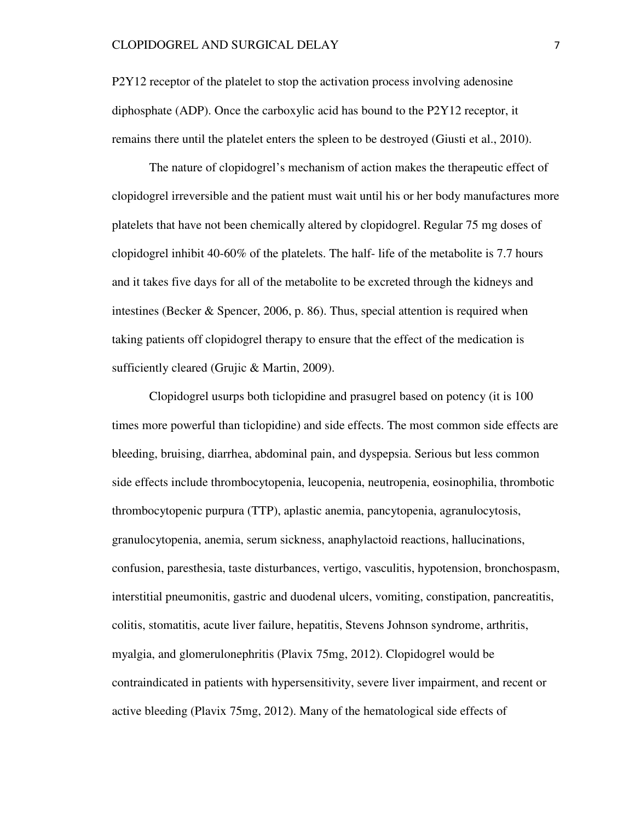P2Y12 receptor of the platelet to stop the activation process involving adenosine diphosphate (ADP). Once the carboxylic acid has bound to the P2Y12 receptor, it remains there until the platelet enters the spleen to be destroyed (Giusti et al., 2010).

The nature of clopidogrel's mechanism of action makes the therapeutic effect of clopidogrel irreversible and the patient must wait until his or her body manufactures more platelets that have not been chemically altered by clopidogrel. Regular 75 mg doses of clopidogrel inhibit 40-60% of the platelets. The half- life of the metabolite is 7.7 hours and it takes five days for all of the metabolite to be excreted through the kidneys and intestines (Becker & Spencer, 2006, p. 86). Thus, special attention is required when taking patients off clopidogrel therapy to ensure that the effect of the medication is sufficiently cleared (Grujic & Martin, 2009).

Clopidogrel usurps both ticlopidine and prasugrel based on potency (it is 100 times more powerful than ticlopidine) and side effects. The most common side effects are bleeding, bruising, diarrhea, abdominal pain, and dyspepsia. Serious but less common side effects include thrombocytopenia, leucopenia, neutropenia, eosinophilia, thrombotic thrombocytopenic purpura (TTP), aplastic anemia, pancytopenia, agranulocytosis, granulocytopenia, anemia, serum sickness, anaphylactoid reactions, hallucinations, confusion, paresthesia, taste disturbances, vertigo, vasculitis, hypotension, bronchospasm, interstitial pneumonitis, gastric and duodenal ulcers, vomiting, constipation, pancreatitis, colitis, stomatitis, acute liver failure, hepatitis, Stevens Johnson syndrome, arthritis, myalgia, and glomerulonephritis (Plavix 75mg, 2012). Clopidogrel would be contraindicated in patients with hypersensitivity, severe liver impairment, and recent or active bleeding (Plavix 75mg, 2012). Many of the hematological side effects of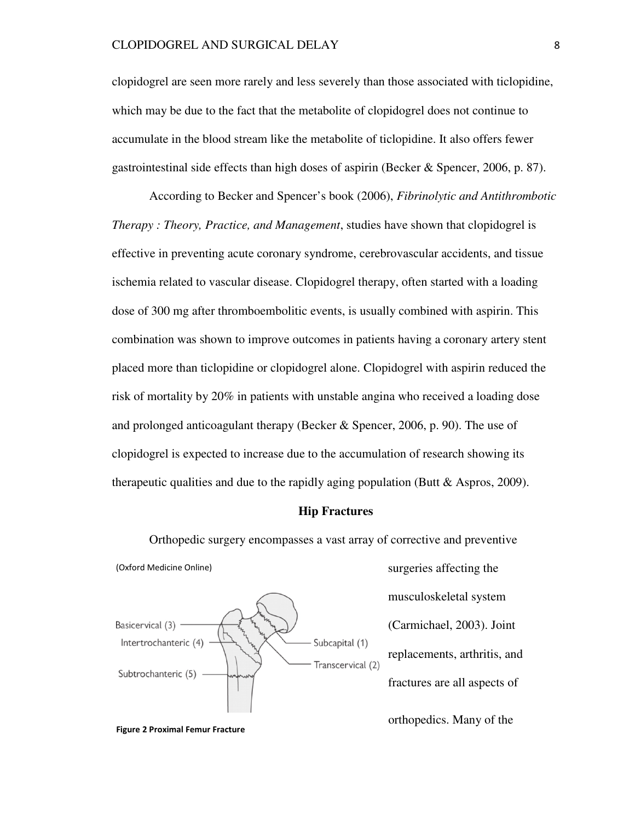clopidogrel are seen more rarely and less severely than those associated with ticlopidine, which may be due to the fact that the metabolite of clopidogrel does not continue to accumulate in the blood stream like the metabolite of ticlopidine. It also offers fewer gastrointestinal side effects than high doses of aspirin (Becker & Spencer, 2006, p. 87).

According to Becker and Spencer's book (2006), *Fibrinolytic and Antithrombotic Therapy : Theory, Practice, and Management*, studies have shown that clopidogrel is effective in preventing acute coronary syndrome, cerebrovascular accidents, and tissue ischemia related to vascular disease. Clopidogrel therapy, often started with a loading dose of 300 mg after thromboembolitic events, is usually combined with aspirin. This combination was shown to improve outcomes in patients having a coronary artery stent placed more than ticlopidine or clopidogrel alone. Clopidogrel with aspirin reduced the risk of mortality by 20% in patients with unstable angina who received a loading dose and prolonged anticoagulant therapy (Becker & Spencer, 2006, p. 90). The use of clopidogrel is expected to increase due to the accumulation of research showing its therapeutic qualities and due to the rapidly aging population (Butt & Aspros, 2009).

#### **Hip Fractures**

Orthopedic surgery encompasses a vast array of corrective and preventive

(Oxford Medicine Online)



surgeries affecting the musculoskeletal system (Carmichael, 2003). Joint replacements, arthritis, and fractures are all aspects of

orthopedics. Many of the

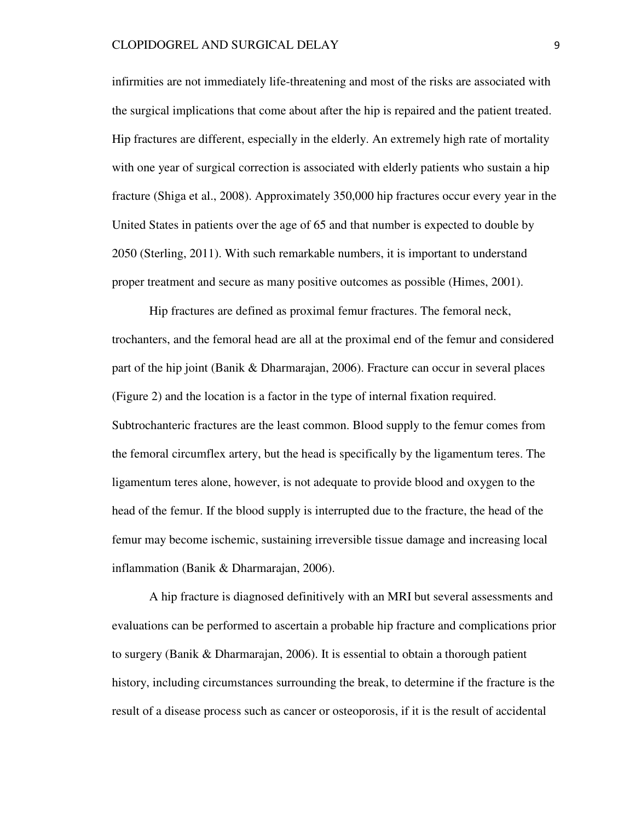infirmities are not immediately life-threatening and most of the risks are associated with the surgical implications that come about after the hip is repaired and the patient treated. Hip fractures are different, especially in the elderly. An extremely high rate of mortality with one year of surgical correction is associated with elderly patients who sustain a hip fracture (Shiga et al., 2008). Approximately 350,000 hip fractures occur every year in the United States in patients over the age of 65 and that number is expected to double by 2050 (Sterling, 2011). With such remarkable numbers, it is important to understand proper treatment and secure as many positive outcomes as possible (Himes, 2001).

Hip fractures are defined as proximal femur fractures. The femoral neck, trochanters, and the femoral head are all at the proximal end of the femur and considered part of the hip joint (Banik & Dharmarajan, 2006). Fracture can occur in several places (Figure 2) and the location is a factor in the type of internal fixation required. Subtrochanteric fractures are the least common. Blood supply to the femur comes from the femoral circumflex artery, but the head is specifically by the ligamentum teres. The ligamentum teres alone, however, is not adequate to provide blood and oxygen to the head of the femur. If the blood supply is interrupted due to the fracture, the head of the femur may become ischemic, sustaining irreversible tissue damage and increasing local inflammation (Banik & Dharmarajan, 2006).

 A hip fracture is diagnosed definitively with an MRI but several assessments and evaluations can be performed to ascertain a probable hip fracture and complications prior to surgery (Banik & Dharmarajan, 2006). It is essential to obtain a thorough patient history, including circumstances surrounding the break, to determine if the fracture is the result of a disease process such as cancer or osteoporosis, if it is the result of accidental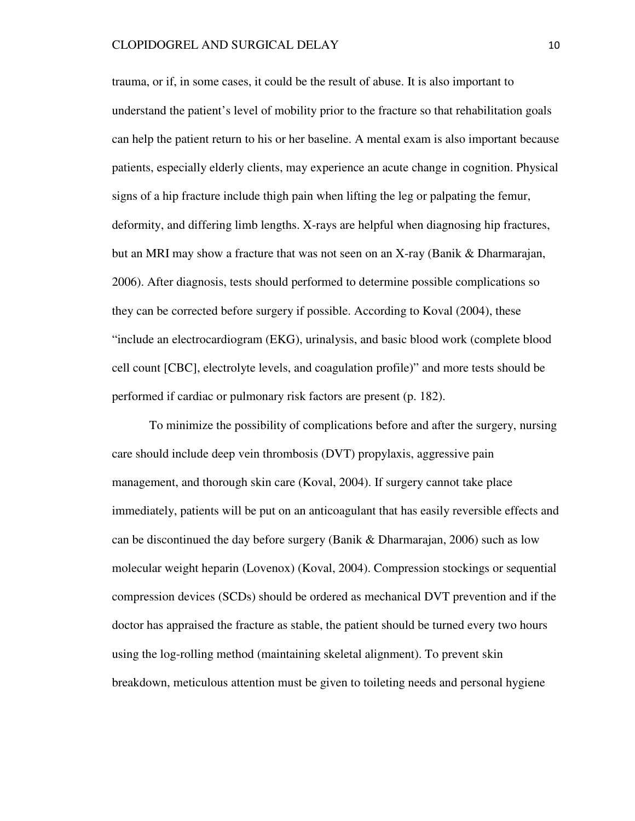trauma, or if, in some cases, it could be the result of abuse. It is also important to understand the patient's level of mobility prior to the fracture so that rehabilitation goals can help the patient return to his or her baseline. A mental exam is also important because patients, especially elderly clients, may experience an acute change in cognition. Physical signs of a hip fracture include thigh pain when lifting the leg or palpating the femur, deformity, and differing limb lengths. X-rays are helpful when diagnosing hip fractures, but an MRI may show a fracture that was not seen on an X-ray (Banik & Dharmarajan, 2006). After diagnosis, tests should performed to determine possible complications so they can be corrected before surgery if possible. According to Koval (2004), these "include an electrocardiogram (EKG), urinalysis, and basic blood work (complete blood cell count [CBC], electrolyte levels, and coagulation profile)" and more tests should be performed if cardiac or pulmonary risk factors are present (p. 182).

 To minimize the possibility of complications before and after the surgery, nursing care should include deep vein thrombosis (DVT) propylaxis, aggressive pain management, and thorough skin care (Koval, 2004). If surgery cannot take place immediately, patients will be put on an anticoagulant that has easily reversible effects and can be discontinued the day before surgery (Banik & Dharmarajan, 2006) such as low molecular weight heparin (Lovenox) (Koval, 2004). Compression stockings or sequential compression devices (SCDs) should be ordered as mechanical DVT prevention and if the doctor has appraised the fracture as stable, the patient should be turned every two hours using the log-rolling method (maintaining skeletal alignment). To prevent skin breakdown, meticulous attention must be given to toileting needs and personal hygiene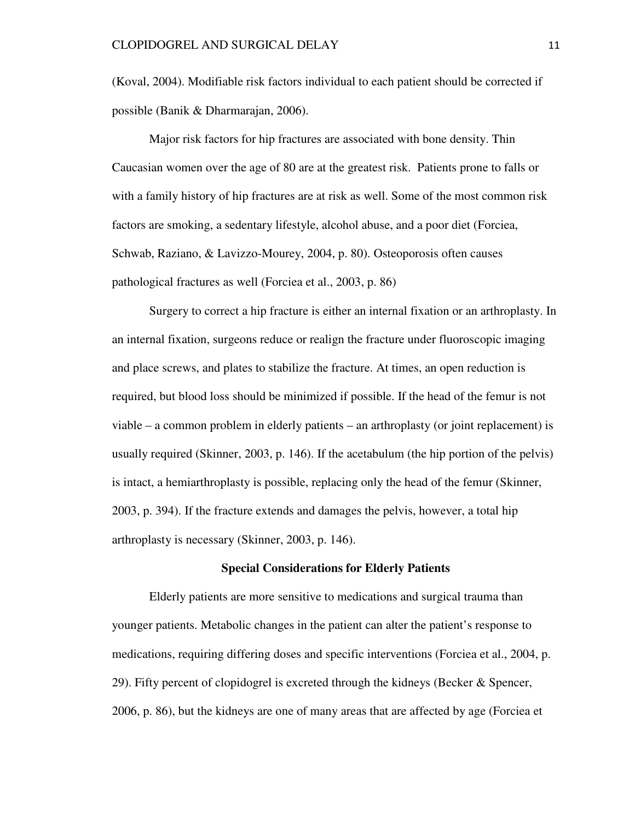(Koval, 2004). Modifiable risk factors individual to each patient should be corrected if possible (Banik & Dharmarajan, 2006).

 Major risk factors for hip fractures are associated with bone density. Thin Caucasian women over the age of 80 are at the greatest risk. Patients prone to falls or with a family history of hip fractures are at risk as well. Some of the most common risk factors are smoking, a sedentary lifestyle, alcohol abuse, and a poor diet (Forciea, Schwab, Raziano, & Lavizzo-Mourey, 2004, p. 80). Osteoporosis often causes pathological fractures as well (Forciea et al., 2003, p. 86)

Surgery to correct a hip fracture is either an internal fixation or an arthroplasty. In an internal fixation, surgeons reduce or realign the fracture under fluoroscopic imaging and place screws, and plates to stabilize the fracture. At times, an open reduction is required, but blood loss should be minimized if possible. If the head of the femur is not viable – a common problem in elderly patients – an arthroplasty (or joint replacement) is usually required (Skinner, 2003, p. 146). If the acetabulum (the hip portion of the pelvis) is intact, a hemiarthroplasty is possible, replacing only the head of the femur (Skinner, 2003, p. 394). If the fracture extends and damages the pelvis, however, a total hip arthroplasty is necessary (Skinner, 2003, p. 146).

#### **Special Considerations for Elderly Patients**

 Elderly patients are more sensitive to medications and surgical trauma than younger patients. Metabolic changes in the patient can alter the patient's response to medications, requiring differing doses and specific interventions (Forciea et al., 2004, p. 29). Fifty percent of clopidogrel is excreted through the kidneys (Becker & Spencer, 2006, p. 86), but the kidneys are one of many areas that are affected by age (Forciea et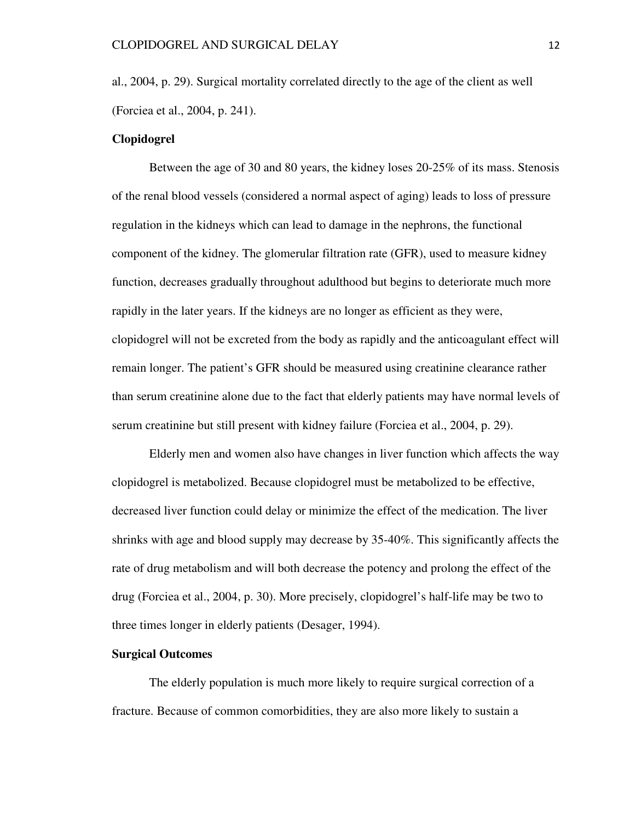al., 2004, p. 29). Surgical mortality correlated directly to the age of the client as well (Forciea et al., 2004, p. 241).

### **Clopidogrel**

 Between the age of 30 and 80 years, the kidney loses 20-25% of its mass. Stenosis of the renal blood vessels (considered a normal aspect of aging) leads to loss of pressure regulation in the kidneys which can lead to damage in the nephrons, the functional component of the kidney. The glomerular filtration rate (GFR), used to measure kidney function, decreases gradually throughout adulthood but begins to deteriorate much more rapidly in the later years. If the kidneys are no longer as efficient as they were, clopidogrel will not be excreted from the body as rapidly and the anticoagulant effect will remain longer. The patient's GFR should be measured using creatinine clearance rather than serum creatinine alone due to the fact that elderly patients may have normal levels of serum creatinine but still present with kidney failure (Forciea et al., 2004, p. 29).

 Elderly men and women also have changes in liver function which affects the way clopidogrel is metabolized. Because clopidogrel must be metabolized to be effective, decreased liver function could delay or minimize the effect of the medication. The liver shrinks with age and blood supply may decrease by 35-40%. This significantly affects the rate of drug metabolism and will both decrease the potency and prolong the effect of the drug (Forciea et al., 2004, p. 30). More precisely, clopidogrel's half-life may be two to three times longer in elderly patients (Desager, 1994).

#### **Surgical Outcomes**

 The elderly population is much more likely to require surgical correction of a fracture. Because of common comorbidities, they are also more likely to sustain a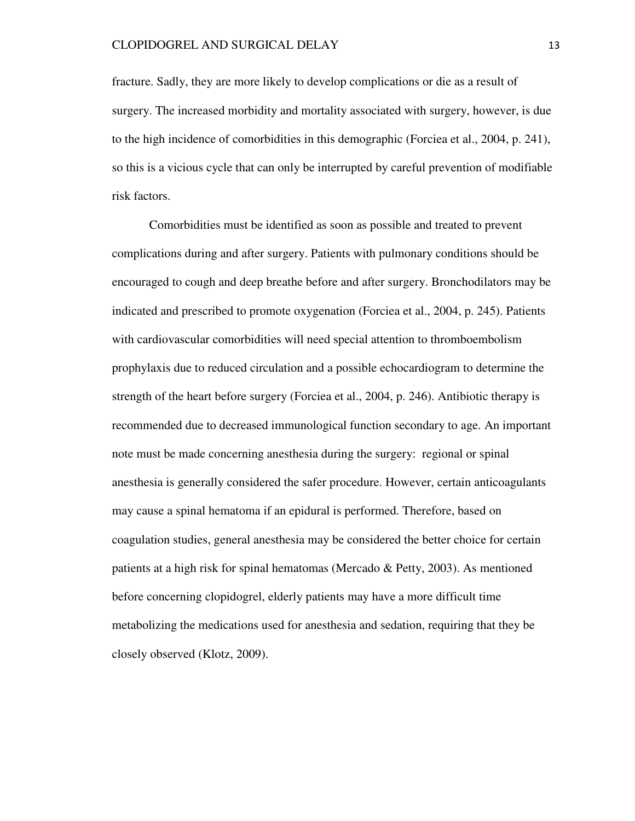fracture. Sadly, they are more likely to develop complications or die as a result of surgery. The increased morbidity and mortality associated with surgery, however, is due to the high incidence of comorbidities in this demographic (Forciea et al., 2004, p. 241), so this is a vicious cycle that can only be interrupted by careful prevention of modifiable risk factors.

 Comorbidities must be identified as soon as possible and treated to prevent complications during and after surgery. Patients with pulmonary conditions should be encouraged to cough and deep breathe before and after surgery. Bronchodilators may be indicated and prescribed to promote oxygenation (Forciea et al., 2004, p. 245). Patients with cardiovascular comorbidities will need special attention to thromboembolism prophylaxis due to reduced circulation and a possible echocardiogram to determine the strength of the heart before surgery (Forciea et al., 2004, p. 246). Antibiotic therapy is recommended due to decreased immunological function secondary to age. An important note must be made concerning anesthesia during the surgery: regional or spinal anesthesia is generally considered the safer procedure. However, certain anticoagulants may cause a spinal hematoma if an epidural is performed. Therefore, based on coagulation studies, general anesthesia may be considered the better choice for certain patients at a high risk for spinal hematomas (Mercado & Petty, 2003). As mentioned before concerning clopidogrel, elderly patients may have a more difficult time metabolizing the medications used for anesthesia and sedation, requiring that they be closely observed (Klotz, 2009).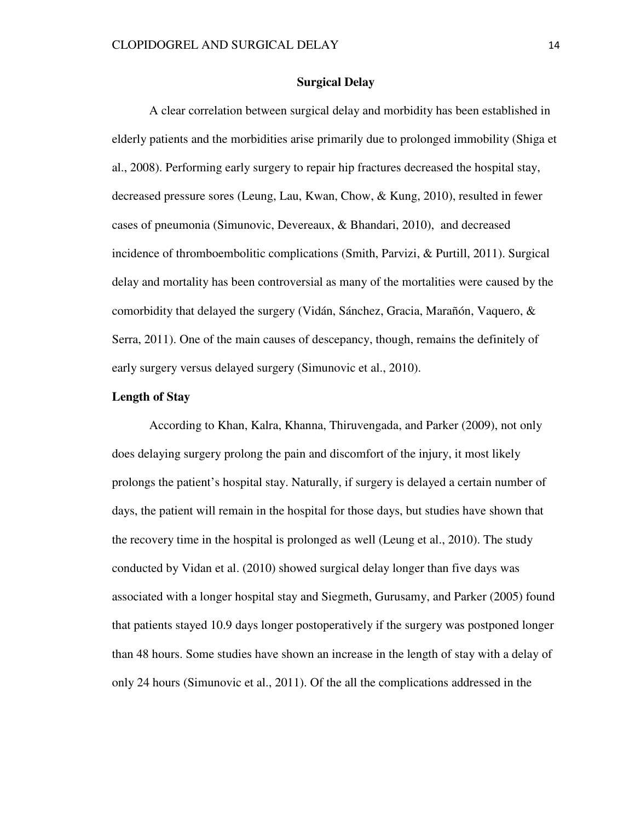### **Surgical Delay**

 A clear correlation between surgical delay and morbidity has been established in elderly patients and the morbidities arise primarily due to prolonged immobility (Shiga et al., 2008). Performing early surgery to repair hip fractures decreased the hospital stay, decreased pressure sores (Leung, Lau, Kwan, Chow, & Kung, 2010), resulted in fewer cases of pneumonia (Simunovic, Devereaux, & Bhandari, 2010), and decreased incidence of thromboembolitic complications (Smith, Parvizi, & Purtill, 2011). Surgical delay and mortality has been controversial as many of the mortalities were caused by the comorbidity that delayed the surgery (Vidán, Sánchez, Gracia, Marañón, Vaquero, & Serra, 2011). One of the main causes of descepancy, though, remains the definitely of early surgery versus delayed surgery (Simunovic et al., 2010).

## **Length of Stay**

According to Khan, Kalra, Khanna, Thiruvengada, and Parker (2009), not only does delaying surgery prolong the pain and discomfort of the injury, it most likely prolongs the patient's hospital stay. Naturally, if surgery is delayed a certain number of days, the patient will remain in the hospital for those days, but studies have shown that the recovery time in the hospital is prolonged as well (Leung et al., 2010). The study conducted by Vidan et al. (2010) showed surgical delay longer than five days was associated with a longer hospital stay and Siegmeth, Gurusamy, and Parker (2005) found that patients stayed 10.9 days longer postoperatively if the surgery was postponed longer than 48 hours. Some studies have shown an increase in the length of stay with a delay of only 24 hours (Simunovic et al., 2011). Of the all the complications addressed in the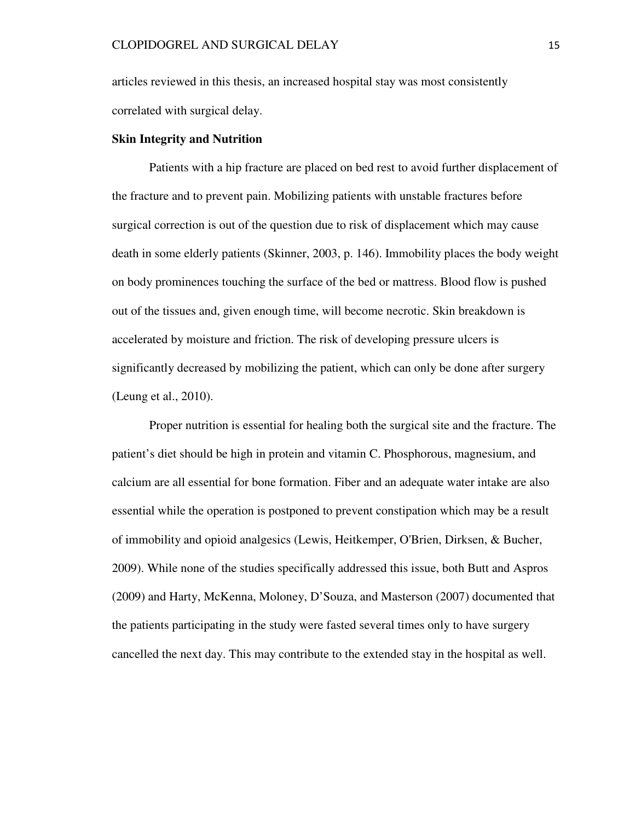articles reviewed in this thesis, an increased hospital stay was most consistently correlated with surgical delay.

### **Skin Integrity and Nutrition**

Patients with a hip fracture are placed on bed rest to avoid further displacement of the fracture and to prevent pain. Mobilizing patients with unstable fractures before surgical correction is out of the question due to risk of displacement which may cause death in some elderly patients (Skinner, 2003, p. 146). Immobility places the body weight on body prominences touching the surface of the bed or mattress. Blood flow is pushed out of the tissues and, given enough time, will become necrotic. Skin breakdown is accelerated by moisture and friction. The risk of developing pressure ulcers is significantly decreased by mobilizing the patient, which can only be done after surgery (Leung et al., 2010).

Proper nutrition is essential for healing both the surgical site and the fracture. The patient's diet should be high in protein and vitamin C. Phosphorous, magnesium, and calcium are all essential for bone formation. Fiber and an adequate water intake are also essential while the operation is postponed to prevent constipation which may be a result of immobility and opioid analgesics (Lewis, Heitkemper, O'Brien, Dirksen, & Bucher, 2009). While none of the studies specifically addressed this issue, both Butt and Aspros (2009) and Harty, McKenna, Moloney, D'Souza, and Masterson (2007) documented that the patients participating in the study were fasted several times only to have surgery cancelled the next day. This may contribute to the extended stay in the hospital as well.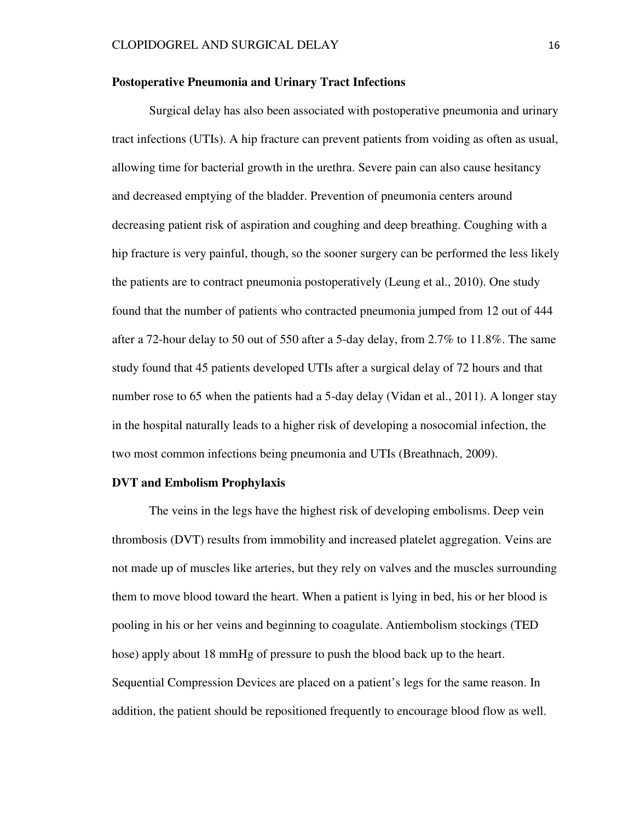### **Postoperative Pneumonia and Urinary Tract Infections**

Surgical delay has also been associated with postoperative pneumonia and urinary tract infections (UTIs). A hip fracture can prevent patients from voiding as often as usual, allowing time for bacterial growth in the urethra. Severe pain can also cause hesitancy and decreased emptying of the bladder. Prevention of pneumonia centers around decreasing patient risk of aspiration and coughing and deep breathing. Coughing with a hip fracture is very painful, though, so the sooner surgery can be performed the less likely the patients are to contract pneumonia postoperatively (Leung et al., 2010). One study found that the number of patients who contracted pneumonia jumped from 12 out of 444 after a 72-hour delay to 50 out of 550 after a 5-day delay, from 2.7% to 11.8%. The same study found that 45 patients developed UTIs after a surgical delay of 72 hours and that number rose to 65 when the patients had a 5-day delay (Vidan et al., 2011). A longer stay in the hospital naturally leads to a higher risk of developing a nosocomial infection, the two most common infections being pneumonia and UTIs (Breathnach, 2009).

#### **DVT and Embolism Prophylaxis**

The veins in the legs have the highest risk of developing embolisms. Deep vein thrombosis (DVT) results from immobility and increased platelet aggregation. Veins are not made up of muscles like arteries, but they rely on valves and the muscles surrounding them to move blood toward the heart. When a patient is lying in bed, his or her blood is pooling in his or her veins and beginning to coagulate. Antiembolism stockings (TED hose) apply about 18 mmHg of pressure to push the blood back up to the heart. Sequential Compression Devices are placed on a patient's legs for the same reason. In addition, the patient should be repositioned frequently to encourage blood flow as well.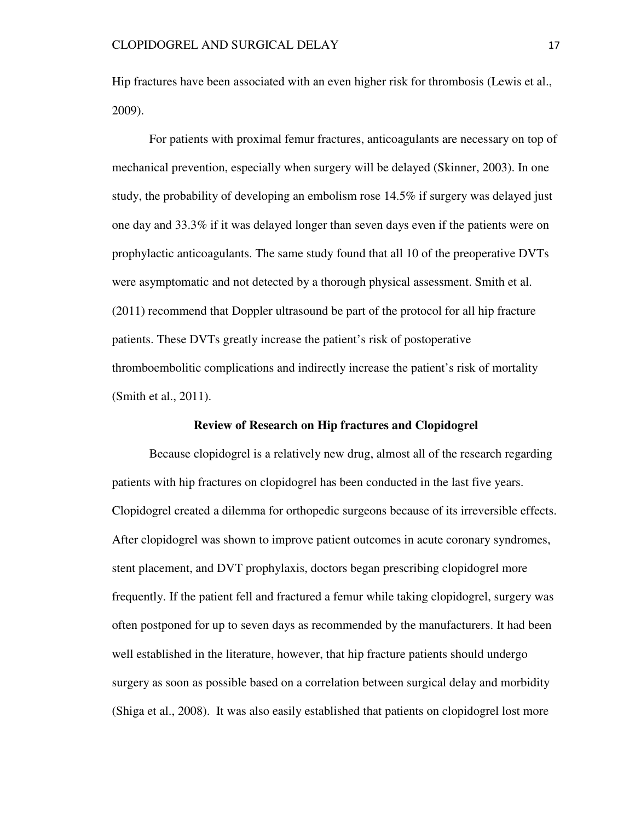Hip fractures have been associated with an even higher risk for thrombosis (Lewis et al., 2009).

For patients with proximal femur fractures, anticoagulants are necessary on top of mechanical prevention, especially when surgery will be delayed (Skinner, 2003). In one study, the probability of developing an embolism rose 14.5% if surgery was delayed just one day and 33.3% if it was delayed longer than seven days even if the patients were on prophylactic anticoagulants. The same study found that all 10 of the preoperative DVTs were asymptomatic and not detected by a thorough physical assessment. Smith et al. (2011) recommend that Doppler ultrasound be part of the protocol for all hip fracture patients. These DVTs greatly increase the patient's risk of postoperative thromboembolitic complications and indirectly increase the patient's risk of mortality (Smith et al., 2011).

#### **Review of Research on Hip fractures and Clopidogrel**

 Because clopidogrel is a relatively new drug, almost all of the research regarding patients with hip fractures on clopidogrel has been conducted in the last five years. Clopidogrel created a dilemma for orthopedic surgeons because of its irreversible effects. After clopidogrel was shown to improve patient outcomes in acute coronary syndromes, stent placement, and DVT prophylaxis, doctors began prescribing clopidogrel more frequently. If the patient fell and fractured a femur while taking clopidogrel, surgery was often postponed for up to seven days as recommended by the manufacturers. It had been well established in the literature, however, that hip fracture patients should undergo surgery as soon as possible based on a correlation between surgical delay and morbidity (Shiga et al., 2008). It was also easily established that patients on clopidogrel lost more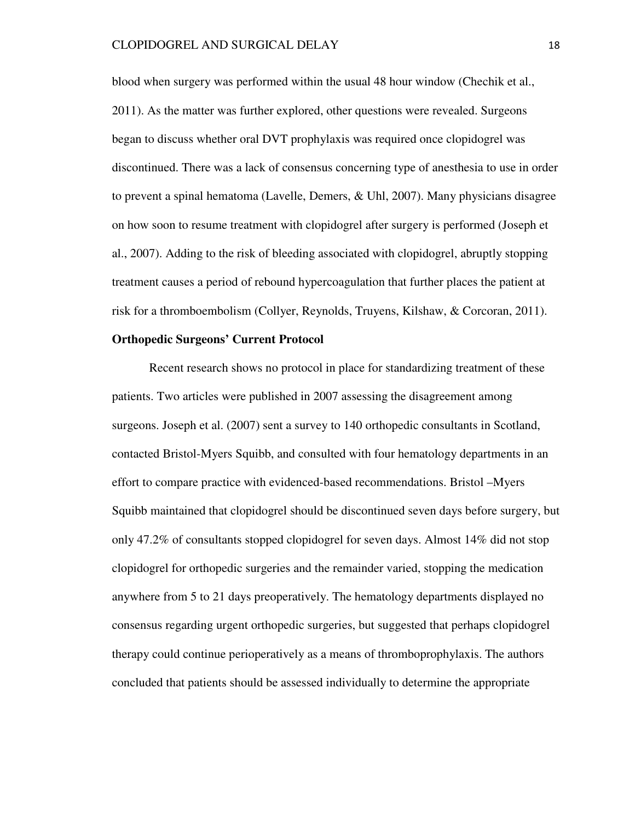blood when surgery was performed within the usual 48 hour window (Chechik et al., 2011). As the matter was further explored, other questions were revealed. Surgeons began to discuss whether oral DVT prophylaxis was required once clopidogrel was discontinued. There was a lack of consensus concerning type of anesthesia to use in order to prevent a spinal hematoma (Lavelle, Demers, & Uhl, 2007). Many physicians disagree on how soon to resume treatment with clopidogrel after surgery is performed (Joseph et al., 2007). Adding to the risk of bleeding associated with clopidogrel, abruptly stopping treatment causes a period of rebound hypercoagulation that further places the patient at risk for a thromboembolism (Collyer, Reynolds, Truyens, Kilshaw, & Corcoran, 2011).

### **Orthopedic Surgeons' Current Protocol**

Recent research shows no protocol in place for standardizing treatment of these patients. Two articles were published in 2007 assessing the disagreement among surgeons. Joseph et al. (2007) sent a survey to 140 orthopedic consultants in Scotland, contacted Bristol-Myers Squibb, and consulted with four hematology departments in an effort to compare practice with evidenced-based recommendations. Bristol –Myers Squibb maintained that clopidogrel should be discontinued seven days before surgery, but only 47.2% of consultants stopped clopidogrel for seven days. Almost 14% did not stop clopidogrel for orthopedic surgeries and the remainder varied, stopping the medication anywhere from 5 to 21 days preoperatively. The hematology departments displayed no consensus regarding urgent orthopedic surgeries, but suggested that perhaps clopidogrel therapy could continue perioperatively as a means of thromboprophylaxis. The authors concluded that patients should be assessed individually to determine the appropriate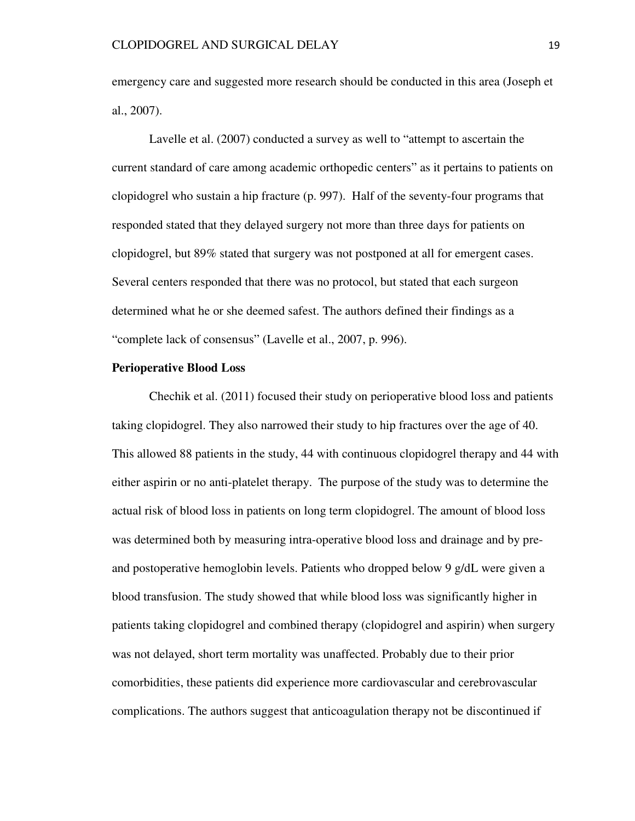emergency care and suggested more research should be conducted in this area (Joseph et al., 2007).

 Lavelle et al. (2007) conducted a survey as well to "attempt to ascertain the current standard of care among academic orthopedic centers" as it pertains to patients on clopidogrel who sustain a hip fracture (p. 997). Half of the seventy-four programs that responded stated that they delayed surgery not more than three days for patients on clopidogrel, but 89% stated that surgery was not postponed at all for emergent cases. Several centers responded that there was no protocol, but stated that each surgeon determined what he or she deemed safest. The authors defined their findings as a "complete lack of consensus" (Lavelle et al., 2007, p. 996).

#### **Perioperative Blood Loss**

Chechik et al. (2011) focused their study on perioperative blood loss and patients taking clopidogrel. They also narrowed their study to hip fractures over the age of 40. This allowed 88 patients in the study, 44 with continuous clopidogrel therapy and 44 with either aspirin or no anti-platelet therapy. The purpose of the study was to determine the actual risk of blood loss in patients on long term clopidogrel. The amount of blood loss was determined both by measuring intra-operative blood loss and drainage and by preand postoperative hemoglobin levels. Patients who dropped below 9 g/dL were given a blood transfusion. The study showed that while blood loss was significantly higher in patients taking clopidogrel and combined therapy (clopidogrel and aspirin) when surgery was not delayed, short term mortality was unaffected. Probably due to their prior comorbidities, these patients did experience more cardiovascular and cerebrovascular complications. The authors suggest that anticoagulation therapy not be discontinued if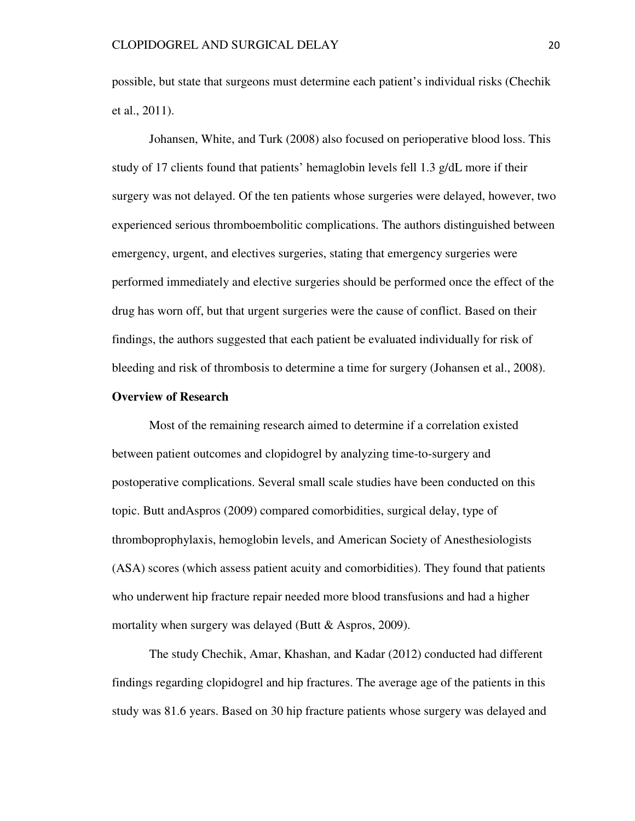possible, but state that surgeons must determine each patient's individual risks (Chechik et al., 2011).

 Johansen, White, and Turk (2008) also focused on perioperative blood loss. This study of 17 clients found that patients' hemaglobin levels fell 1.3 g/dL more if their surgery was not delayed. Of the ten patients whose surgeries were delayed, however, two experienced serious thromboembolitic complications. The authors distinguished between emergency, urgent, and electives surgeries, stating that emergency surgeries were performed immediately and elective surgeries should be performed once the effect of the drug has worn off, but that urgent surgeries were the cause of conflict. Based on their findings, the authors suggested that each patient be evaluated individually for risk of bleeding and risk of thrombosis to determine a time for surgery (Johansen et al., 2008).

### **Overview of Research**

Most of the remaining research aimed to determine if a correlation existed between patient outcomes and clopidogrel by analyzing time-to-surgery and postoperative complications. Several small scale studies have been conducted on this topic. Butt andAspros (2009) compared comorbidities, surgical delay, type of thromboprophylaxis, hemoglobin levels, and American Society of Anesthesiologists (ASA) scores (which assess patient acuity and comorbidities). They found that patients who underwent hip fracture repair needed more blood transfusions and had a higher mortality when surgery was delayed (Butt  $&$  Aspros, 2009).

 The study Chechik, Amar, Khashan, and Kadar (2012) conducted had different findings regarding clopidogrel and hip fractures. The average age of the patients in this study was 81.6 years. Based on 30 hip fracture patients whose surgery was delayed and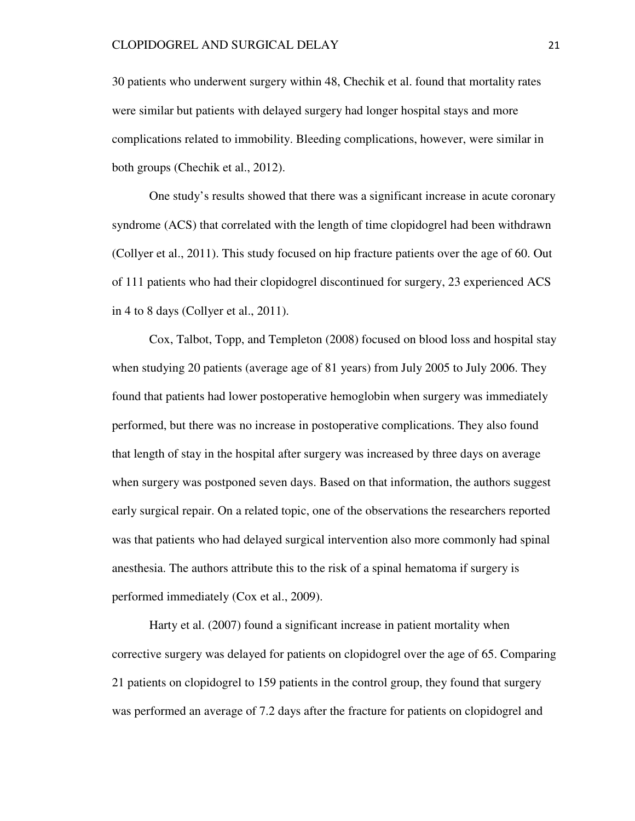30 patients who underwent surgery within 48, Chechik et al. found that mortality rates were similar but patients with delayed surgery had longer hospital stays and more complications related to immobility. Bleeding complications, however, were similar in both groups (Chechik et al., 2012).

 One study's results showed that there was a significant increase in acute coronary syndrome (ACS) that correlated with the length of time clopidogrel had been withdrawn (Collyer et al., 2011). This study focused on hip fracture patients over the age of 60. Out of 111 patients who had their clopidogrel discontinued for surgery, 23 experienced ACS in 4 to 8 days (Collyer et al., 2011).

 Cox, Talbot, Topp, and Templeton (2008) focused on blood loss and hospital stay when studying 20 patients (average age of 81 years) from July 2005 to July 2006. They found that patients had lower postoperative hemoglobin when surgery was immediately performed, but there was no increase in postoperative complications. They also found that length of stay in the hospital after surgery was increased by three days on average when surgery was postponed seven days. Based on that information, the authors suggest early surgical repair. On a related topic, one of the observations the researchers reported was that patients who had delayed surgical intervention also more commonly had spinal anesthesia. The authors attribute this to the risk of a spinal hematoma if surgery is performed immediately (Cox et al., 2009).

 Harty et al. (2007) found a significant increase in patient mortality when corrective surgery was delayed for patients on clopidogrel over the age of 65. Comparing 21 patients on clopidogrel to 159 patients in the control group, they found that surgery was performed an average of 7.2 days after the fracture for patients on clopidogrel and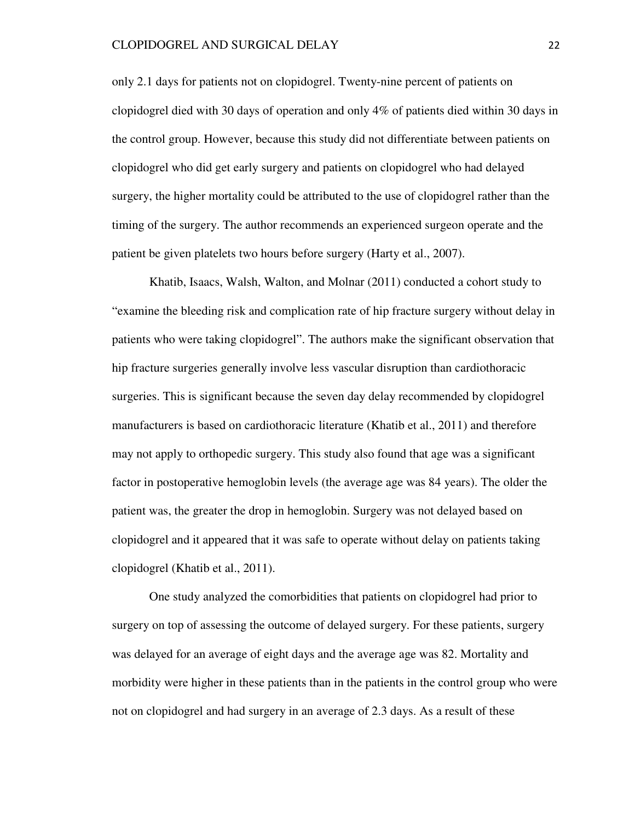only 2.1 days for patients not on clopidogrel. Twenty-nine percent of patients on clopidogrel died with 30 days of operation and only 4% of patients died within 30 days in the control group. However, because this study did not differentiate between patients on clopidogrel who did get early surgery and patients on clopidogrel who had delayed surgery, the higher mortality could be attributed to the use of clopidogrel rather than the timing of the surgery. The author recommends an experienced surgeon operate and the patient be given platelets two hours before surgery (Harty et al., 2007).

 Khatib, Isaacs, Walsh, Walton, and Molnar (2011) conducted a cohort study to "examine the bleeding risk and complication rate of hip fracture surgery without delay in patients who were taking clopidogrel". The authors make the significant observation that hip fracture surgeries generally involve less vascular disruption than cardiothoracic surgeries. This is significant because the seven day delay recommended by clopidogrel manufacturers is based on cardiothoracic literature (Khatib et al., 2011) and therefore may not apply to orthopedic surgery. This study also found that age was a significant factor in postoperative hemoglobin levels (the average age was 84 years). The older the patient was, the greater the drop in hemoglobin. Surgery was not delayed based on clopidogrel and it appeared that it was safe to operate without delay on patients taking clopidogrel (Khatib et al., 2011).

 One study analyzed the comorbidities that patients on clopidogrel had prior to surgery on top of assessing the outcome of delayed surgery. For these patients, surgery was delayed for an average of eight days and the average age was 82. Mortality and morbidity were higher in these patients than in the patients in the control group who were not on clopidogrel and had surgery in an average of 2.3 days. As a result of these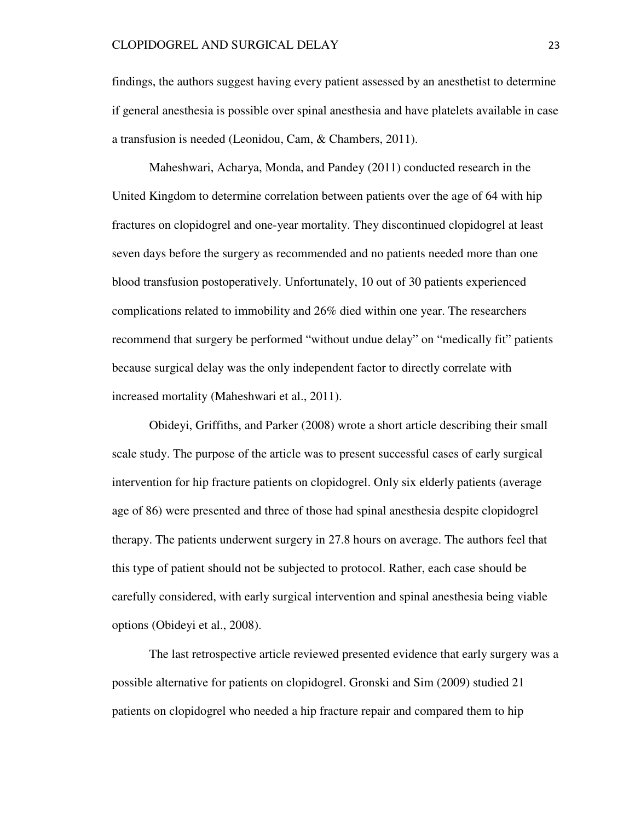findings, the authors suggest having every patient assessed by an anesthetist to determine if general anesthesia is possible over spinal anesthesia and have platelets available in case a transfusion is needed (Leonidou, Cam, & Chambers, 2011).

 Maheshwari, Acharya, Monda, and Pandey (2011) conducted research in the United Kingdom to determine correlation between patients over the age of 64 with hip fractures on clopidogrel and one-year mortality. They discontinued clopidogrel at least seven days before the surgery as recommended and no patients needed more than one blood transfusion postoperatively. Unfortunately, 10 out of 30 patients experienced complications related to immobility and 26% died within one year. The researchers recommend that surgery be performed "without undue delay" on "medically fit" patients because surgical delay was the only independent factor to directly correlate with increased mortality (Maheshwari et al., 2011).

 Obideyi, Griffiths, and Parker (2008) wrote a short article describing their small scale study. The purpose of the article was to present successful cases of early surgical intervention for hip fracture patients on clopidogrel. Only six elderly patients (average age of 86) were presented and three of those had spinal anesthesia despite clopidogrel therapy. The patients underwent surgery in 27.8 hours on average. The authors feel that this type of patient should not be subjected to protocol. Rather, each case should be carefully considered, with early surgical intervention and spinal anesthesia being viable options (Obideyi et al., 2008).

 The last retrospective article reviewed presented evidence that early surgery was a possible alternative for patients on clopidogrel. Gronski and Sim (2009) studied 21 patients on clopidogrel who needed a hip fracture repair and compared them to hip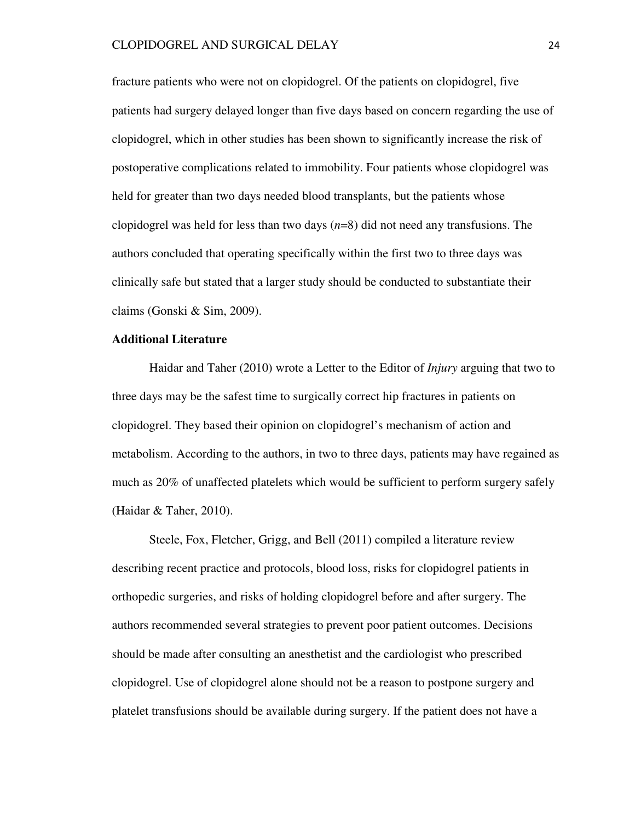fracture patients who were not on clopidogrel. Of the patients on clopidogrel, five patients had surgery delayed longer than five days based on concern regarding the use of clopidogrel, which in other studies has been shown to significantly increase the risk of postoperative complications related to immobility. Four patients whose clopidogrel was held for greater than two days needed blood transplants, but the patients whose clopidogrel was held for less than two days (*n*=8) did not need any transfusions. The authors concluded that operating specifically within the first two to three days was clinically safe but stated that a larger study should be conducted to substantiate their claims (Gonski & Sim, 2009).

### **Additional Literature**

Haidar and Taher (2010) wrote a Letter to the Editor of *Injury* arguing that two to three days may be the safest time to surgically correct hip fractures in patients on clopidogrel. They based their opinion on clopidogrel's mechanism of action and metabolism. According to the authors, in two to three days, patients may have regained as much as 20% of unaffected platelets which would be sufficient to perform surgery safely (Haidar & Taher, 2010).

 Steele, Fox, Fletcher, Grigg, and Bell (2011) compiled a literature review describing recent practice and protocols, blood loss, risks for clopidogrel patients in orthopedic surgeries, and risks of holding clopidogrel before and after surgery. The authors recommended several strategies to prevent poor patient outcomes. Decisions should be made after consulting an anesthetist and the cardiologist who prescribed clopidogrel. Use of clopidogrel alone should not be a reason to postpone surgery and platelet transfusions should be available during surgery. If the patient does not have a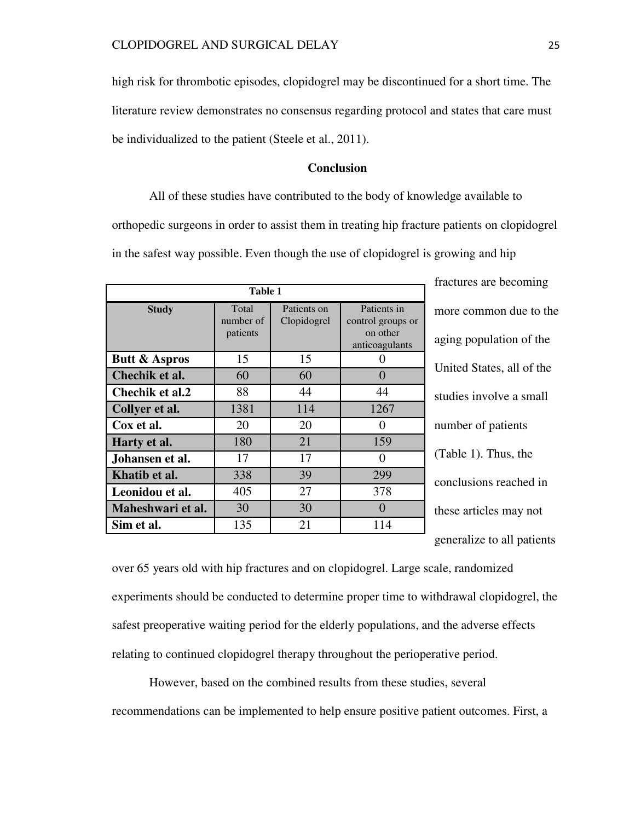high risk for thrombotic episodes, clopidogrel may be discontinued for a short time. The literature review demonstrates no consensus regarding protocol and states that care must be individualized to the patient (Steele et al., 2011).

# **Conclusion**

 All of these studies have contributed to the body of knowledge available to orthopedic surgeons in order to assist them in treating hip fracture patients on clopidogrel in the safest way possible. Even though the use of clopidogrel is growing and hip

| Table 1                  |                                |                            |                                                                |
|--------------------------|--------------------------------|----------------------------|----------------------------------------------------------------|
| <b>Study</b>             | Total<br>number of<br>patients | Patients on<br>Clopidogrel | Patients in<br>control groups or<br>on other<br>anticoagulants |
| <b>Butt &amp; Aspros</b> | 15                             | 15                         |                                                                |
| Chechik et al.           | 60                             | 60                         | $\mathbf{\Omega}$                                              |
| Chechik et al.2          | 88                             | 44                         | 44                                                             |
| Collyer et al.           | 1381                           | 114                        | 1267                                                           |
| Cox et al.               | 20                             | 20                         |                                                                |
| Harty et al.             | 180                            | 21                         | 159                                                            |
| Johansen et al.          | 17                             | 17                         |                                                                |
| Khatib et al.            | 338                            | 39                         | 299                                                            |
| Leonidou et al.          | 405                            | 27                         | 378                                                            |
| Maheshwari et al.        | 30                             | 30                         |                                                                |
| Sim et al.               | 135                            | 21                         | 114                                                            |

fractures are becoming more common due to the aging population of the United States, all of the studies involve a small number of patients (Table 1). Thus, the conclusions reached in these articles may not generalize to all patients

over 65 years old with hip fractures and on clopidogrel. Large scale, randomized experiments should be conducted to determine proper time to withdrawal clopidogrel, the safest preoperative waiting period for the elderly populations, and the adverse effects relating to continued clopidogrel therapy throughout the perioperative period.

 However, based on the combined results from these studies, several recommendations can be implemented to help ensure positive patient outcomes. First, a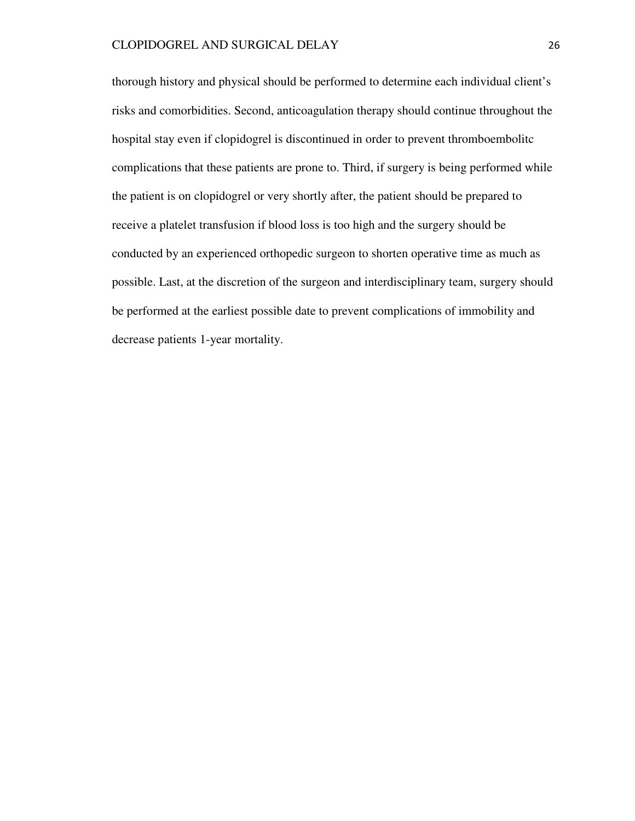thorough history and physical should be performed to determine each individual client's risks and comorbidities. Second, anticoagulation therapy should continue throughout the hospital stay even if clopidogrel is discontinued in order to prevent thromboembolitc complications that these patients are prone to. Third, if surgery is being performed while the patient is on clopidogrel or very shortly after, the patient should be prepared to receive a platelet transfusion if blood loss is too high and the surgery should be conducted by an experienced orthopedic surgeon to shorten operative time as much as possible. Last, at the discretion of the surgeon and interdisciplinary team, surgery should be performed at the earliest possible date to prevent complications of immobility and decrease patients 1-year mortality.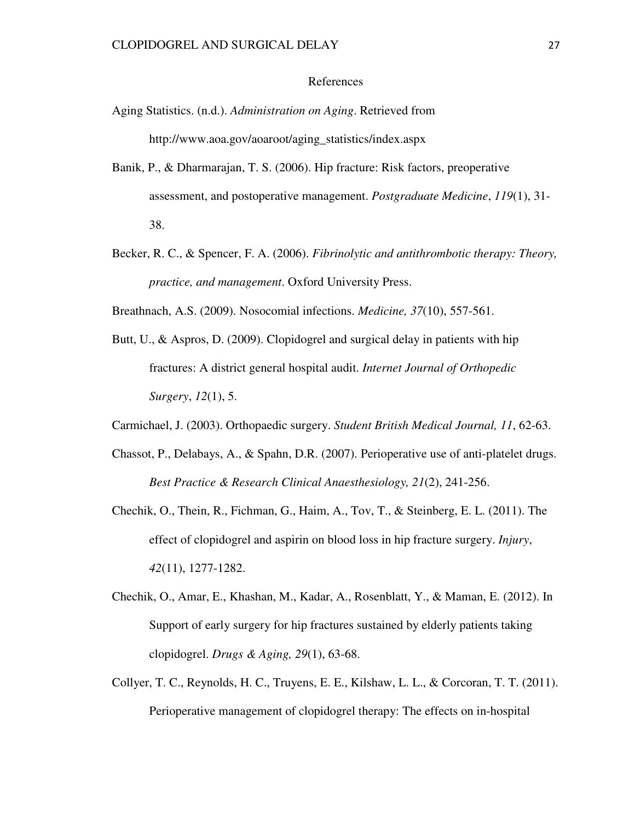#### References

- Aging Statistics. (n.d.). *Administration on Aging*. Retrieved from http://www.aoa.gov/aoaroot/aging\_statistics/index.aspx
- Banik, P., & Dharmarajan, T. S. (2006). Hip fracture: Risk factors, preoperative assessment, and postoperative management. *Postgraduate Medicine*, *119*(1), 31- 38.
- Becker, R. C., & Spencer, F. A. (2006). *Fibrinolytic and antithrombotic therapy: Theory, practice, and management*. Oxford University Press.
- Breathnach, A.S. (2009). Nosocomial infections. *Medicine, 37*(10), 557-561.
- Butt, U., & Aspros, D. (2009). Clopidogrel and surgical delay in patients with hip fractures: A district general hospital audit. *Internet Journal of Orthopedic Surgery*, *12*(1), 5.
- Carmichael, J. (2003). Orthopaedic surgery. *Student British Medical Journal, 11*, 62-63.
- Chassot, P., Delabays, A., & Spahn, D.R. (2007). Perioperative use of anti-platelet drugs. *Best Practice & Research Clinical Anaesthesiology, 21*(2), 241-256.
- Chechik, O., Thein, R., Fichman, G., Haim, A., Tov, T., & Steinberg, E. L. (2011). The effect of clopidogrel and aspirin on blood loss in hip fracture surgery. *Injury*, *42*(11), 1277-1282.
- Chechik, O., Amar, E., Khashan, M., Kadar, A., Rosenblatt, Y., & Maman, E. (2012). In Support of early surgery for hip fractures sustained by elderly patients taking clopidogrel. *Drugs & Aging, 29*(1), 63-68.
- Collyer, T. C., Reynolds, H. C., Truyens, E. E., Kilshaw, L. L., & Corcoran, T. T. (2011). Perioperative management of clopidogrel therapy: The effects on in-hospital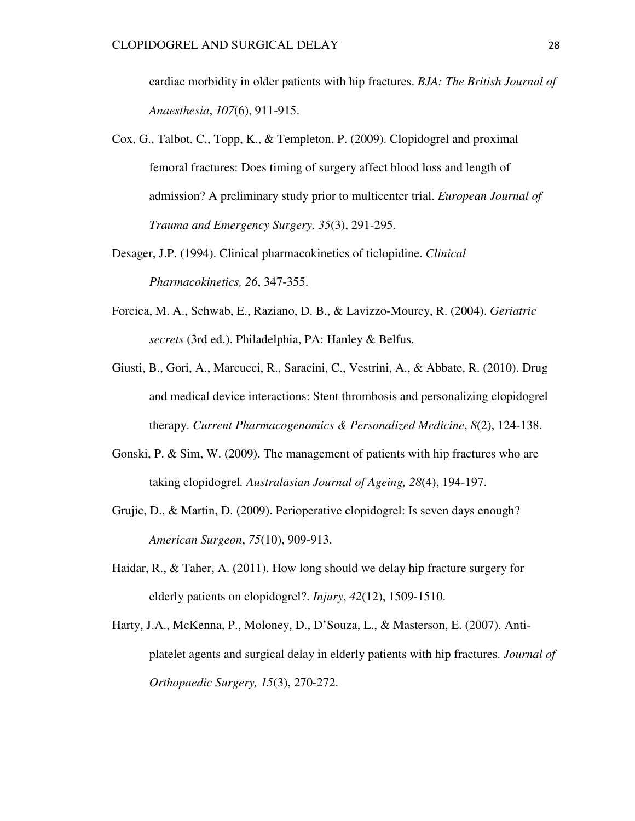cardiac morbidity in older patients with hip fractures. *BJA: The British Journal of Anaesthesia*, *107*(6), 911-915.

- Cox, G., Talbot, C., Topp, K., & Templeton, P. (2009). Clopidogrel and proximal femoral fractures: Does timing of surgery affect blood loss and length of admission? A preliminary study prior to multicenter trial. *European Journal of Trauma and Emergency Surgery, 35*(3), 291-295.
- Desager, J.P. (1994). Clinical pharmacokinetics of ticlopidine. *Clinical Pharmacokinetics, 26*, 347-355.
- Forciea, M. A., Schwab, E., Raziano, D. B., & Lavizzo-Mourey, R. (2004). *Geriatric secrets* (3rd ed.). Philadelphia, PA: Hanley & Belfus.
- Giusti, B., Gori, A., Marcucci, R., Saracini, C., Vestrini, A., & Abbate, R. (2010). Drug and medical device interactions: Stent thrombosis and personalizing clopidogrel therapy. *Current Pharmacogenomics & Personalized Medicine*, *8*(2), 124-138.
- Gonski, P. & Sim, W. (2009). The management of patients with hip fractures who are taking clopidogrel*. Australasian Journal of Ageing, 28*(4), 194-197.
- Grujic, D., & Martin, D. (2009). Perioperative clopidogrel: Is seven days enough? *American Surgeon*, *75*(10), 909-913.
- Haidar, R., & Taher, A. (2011). How long should we delay hip fracture surgery for elderly patients on clopidogrel?. *Injury*, *42*(12), 1509-1510.
- Harty, J.A., McKenna, P., Moloney, D., D'Souza, L., & Masterson, E. (2007). Antiplatelet agents and surgical delay in elderly patients with hip fractures. *Journal of Orthopaedic Surgery, 15*(3), 270-272.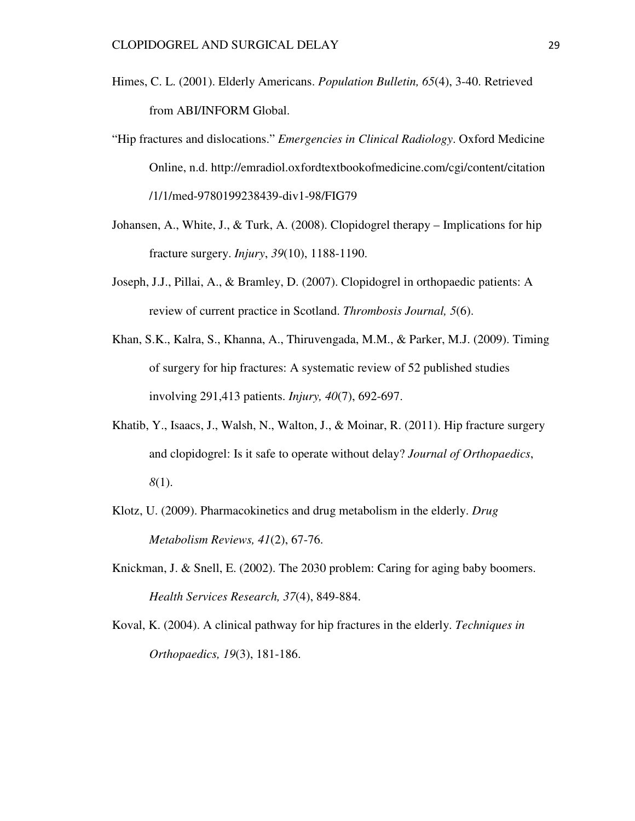- Himes, C. L. (2001). Elderly Americans. *Population Bulletin, 65*(4), 3-40. Retrieved from ABI/INFORM Global.
- "Hip fractures and dislocations." *Emergencies in Clinical Radiology*. Oxford Medicine Online, n.d. http://emradiol.oxfordtextbookofmedicine.com/cgi/content/citation /1/1/med-9780199238439-div1-98/FIG79
- Johansen, A., White, J., & Turk, A. (2008). Clopidogrel therapy Implications for hip fracture surgery. *Injury*, *39*(10), 1188-1190.
- Joseph, J.J., Pillai, A., & Bramley, D. (2007). Clopidogrel in orthopaedic patients: A review of current practice in Scotland. *Thrombosis Journal, 5*(6).
- Khan, S.K., Kalra, S., Khanna, A., Thiruvengada, M.M., & Parker, M.J. (2009). Timing of surgery for hip fractures: A systematic review of 52 published studies involving 291,413 patients. *Injury, 40*(7), 692-697.
- Khatib, Y., Isaacs, J., Walsh, N., Walton, J., & Moinar, R. (2011). Hip fracture surgery and clopidogrel: Is it safe to operate without delay? *Journal of Orthopaedics*, *8*(1).
- Klotz, U. (2009). Pharmacokinetics and drug metabolism in the elderly. *Drug Metabolism Reviews, 41*(2), 67-76.
- Knickman, J. & Snell, E. (2002). The 2030 problem: Caring for aging baby boomers. *Health Services Research, 37*(4), 849-884.
- Koval, K. (2004). A clinical pathway for hip fractures in the elderly. *Techniques in Orthopaedics, 19*(3), 181-186.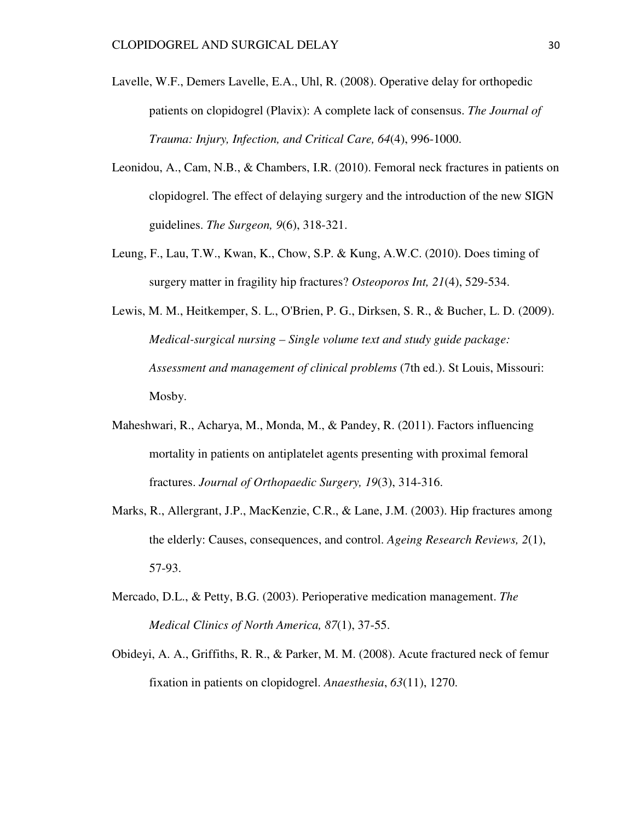- Lavelle, W.F., Demers Lavelle, E.A., Uhl, R. (2008). Operative delay for orthopedic patients on clopidogrel (Plavix): A complete lack of consensus. *The Journal of Trauma: Injury, Infection, and Critical Care, 64*(4), 996-1000.
- Leonidou, A., Cam, N.B., & Chambers, I.R. (2010). Femoral neck fractures in patients on clopidogrel. The effect of delaying surgery and the introduction of the new SIGN guidelines. *The Surgeon, 9*(6), 318-321.
- Leung, F., Lau, T.W., Kwan, K., Chow, S.P. & Kung, A.W.C. (2010). Does timing of surgery matter in fragility hip fractures? *Osteoporos Int, 21*(4), 529-534.
- Lewis, M. M., Heitkemper, S. L., O'Brien, P. G., Dirksen, S. R., & Bucher, L. D. (2009). *Medical-surgical nursing – Single volume text and study guide package: Assessment and management of clinical problems* (7th ed.). St Louis, Missouri: Mosby.
- Maheshwari, R., Acharya, M., Monda, M., & Pandey, R. (2011). Factors influencing mortality in patients on antiplatelet agents presenting with proximal femoral fractures. *Journal of Orthopaedic Surgery, 19*(3), 314-316.
- Marks, R., Allergrant, J.P., MacKenzie, C.R., & Lane, J.M. (2003). Hip fractures among the elderly: Causes, consequences, and control. *Ageing Research Reviews, 2*(1), 57-93.
- Mercado, D.L., & Petty, B.G. (2003). Perioperative medication management. *The Medical Clinics of North America, 87*(1), 37-55.
- Obideyi, A. A., Griffiths, R. R., & Parker, M. M. (2008). Acute fractured neck of femur fixation in patients on clopidogrel. *Anaesthesia*, *63*(11), 1270.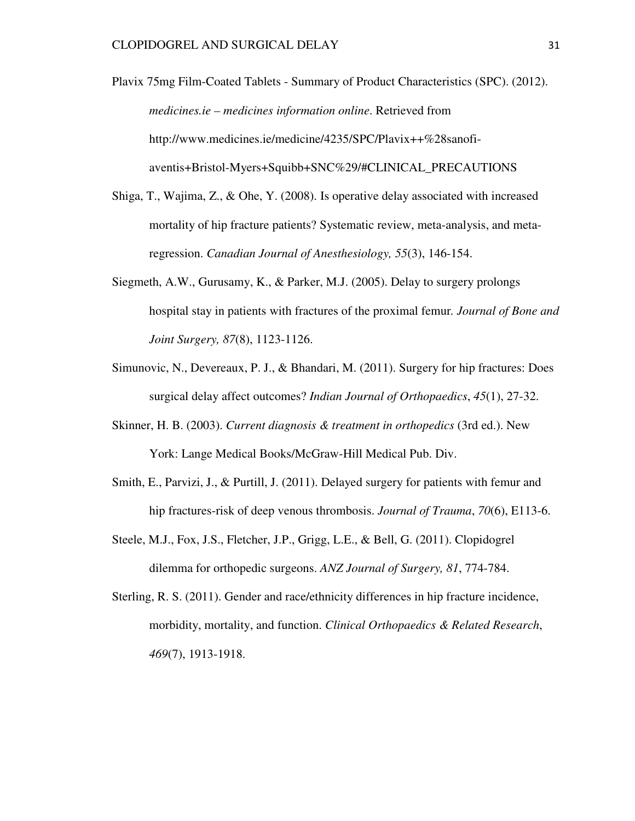Plavix 75mg Film-Coated Tablets - Summary of Product Characteristics (SPC). (2012). *medicines.ie – medicines information online*. Retrieved from http://www.medicines.ie/medicine/4235/SPC/Plavix++%28sanofiaventis+Bristol-Myers+Squibb+SNC%29/#CLINICAL\_PRECAUTIONS

- Shiga, T., Wajima, Z., & Ohe, Y. (2008). Is operative delay associated with increased mortality of hip fracture patients? Systematic review, meta-analysis, and metaregression. *Canadian Journal of Anesthesiology, 55*(3), 146-154.
- Siegmeth, A.W., Gurusamy, K., & Parker, M.J. (2005). Delay to surgery prolongs hospital stay in patients with fractures of the proximal femur*. Journal of Bone and Joint Surgery, 87*(8), 1123-1126.
- Simunovic, N., Devereaux, P. J., & Bhandari, M. (2011). Surgery for hip fractures: Does surgical delay affect outcomes? *Indian Journal of Orthopaedics*, *45*(1), 27-32.
- Skinner, H. B. (2003). *Current diagnosis & treatment in orthopedics* (3rd ed.). New York: Lange Medical Books/McGraw-Hill Medical Pub. Div.
- Smith, E., Parvizi, J., & Purtill, J. (2011). Delayed surgery for patients with femur and hip fractures-risk of deep venous thrombosis. *Journal of Trauma*, *70*(6), E113-6.
- Steele, M.J., Fox, J.S., Fletcher, J.P., Grigg, L.E., & Bell, G. (2011). Clopidogrel dilemma for orthopedic surgeons. *ANZ Journal of Surgery, 81*, 774-784.
- Sterling, R. S. (2011). Gender and race/ethnicity differences in hip fracture incidence, morbidity, mortality, and function. *Clinical Orthopaedics & Related Research*, *469*(7), 1913-1918.